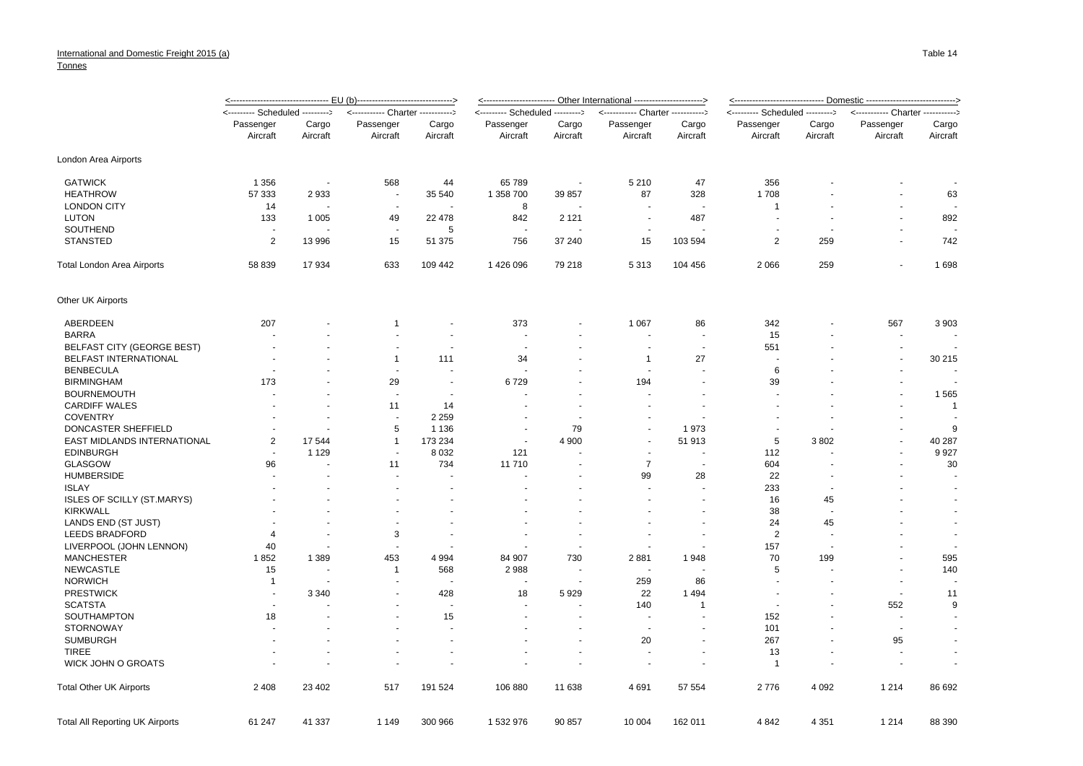|                                        |                                                                                                                                                    |                   |                          |                          | <----------------------- Other International ----------------------> |                   |                             |                          | <-----------------------------    Domestic ----------------------------> |                   |                          |                          |
|----------------------------------------|----------------------------------------------------------------------------------------------------------------------------------------------------|-------------------|--------------------------|--------------------------|----------------------------------------------------------------------|-------------------|-----------------------------|--------------------------|--------------------------------------------------------------------------|-------------------|--------------------------|--------------------------|
|                                        | <--------------------------------- EU (b)------------------------------><br>----- Scheduled ---------><br><----------- Charter -----------><br><-- |                   |                          |                          | <--------- Scheduled --------->                                      |                   | Charter -----------><br><-- |                          | <--------- Scheduled ---------><br><----------- Charter ----------->     |                   |                          |                          |
|                                        | Passenger<br>Aircraft                                                                                                                              | Cargo<br>Aircraft | Passenger<br>Aircraft    | Cargo<br>Aircraft        | Passenger<br>Aircraft                                                | Cargo<br>Aircraft | Passenger<br>Aircraft       | Cargo<br>Aircraft        | Passenger<br>Aircraft                                                    | Cargo<br>Aircraft | Passenger<br>Aircraft    | Cargo<br>Aircraft        |
| London Area Airports                   |                                                                                                                                                    |                   |                          |                          |                                                                      |                   |                             |                          |                                                                          |                   |                          |                          |
| <b>GATWICK</b>                         | 1 3 5 6                                                                                                                                            | $\blacksquare$    | 568                      | 44                       | 65 789                                                               |                   | 5 2 1 0                     | 47                       | 356                                                                      |                   |                          |                          |
| <b>HEATHROW</b>                        | 57 333                                                                                                                                             | 2933              | ÷.                       | 35 540                   | 1 358 700                                                            | 39 857            | 87                          | 328                      | 1708                                                                     |                   |                          | 63                       |
| <b>LONDON CITY</b>                     | 14                                                                                                                                                 |                   |                          |                          | 8                                                                    |                   |                             |                          | $\mathbf{1}$                                                             |                   | $\overline{\phantom{a}}$ |                          |
| <b>LUTON</b>                           | 133                                                                                                                                                | 1 0 0 5           | 49                       | 22 4 78                  | 842                                                                  | 2 1 2 1           |                             | 487                      |                                                                          |                   | $\sim$                   | 892                      |
| SOUTHEND                               |                                                                                                                                                    |                   | $\sim$                   | 5                        | $\overline{\phantom{a}}$                                             |                   | $\overline{\phantom{a}}$    | ÷.                       |                                                                          |                   | $\overline{\phantom{a}}$ |                          |
| <b>STANSTED</b>                        | $\overline{2}$                                                                                                                                     | 13 996            | 15                       | 51 375                   | 756                                                                  | 37 240            | 15                          | 103 594                  | $\overline{2}$                                                           | 259               | $\overline{\phantom{a}}$ | 742                      |
| <b>Total London Area Airports</b>      | 58 839                                                                                                                                             | 17934             | 633                      | 109 442                  | 1426 096                                                             | 79 218            | 5313                        | 104 456                  | 2 0 6 6                                                                  | 259               | $\overline{\phantom{a}}$ | 1698                     |
| Other UK Airports                      |                                                                                                                                                    |                   |                          |                          |                                                                      |                   |                             |                          |                                                                          |                   |                          |                          |
| ABERDEEN                               | 207                                                                                                                                                |                   | -1                       |                          | 373                                                                  |                   | 1 0 6 7                     | 86                       | 342                                                                      |                   | 567                      | 3 9 0 3                  |
| <b>BARRA</b>                           |                                                                                                                                                    |                   |                          | $\overline{\phantom{a}}$ | $\overline{\phantom{a}}$                                             |                   |                             | $\sim$                   | 15                                                                       |                   |                          |                          |
| <b>BELFAST CITY (GEORGE BEST)</b>      |                                                                                                                                                    |                   |                          | $\overline{\phantom{a}}$ |                                                                      |                   |                             | $\overline{\phantom{a}}$ | 551                                                                      |                   | $\sim$                   |                          |
| BELFAST INTERNATIONAL                  |                                                                                                                                                    |                   | $\mathbf{1}$             | 111                      | 34                                                                   |                   | $\overline{1}$              | 27                       |                                                                          |                   | $\overline{\phantom{a}}$ | 30 215                   |
| <b>BENBECULA</b>                       |                                                                                                                                                    |                   |                          |                          |                                                                      |                   |                             | $\overline{\phantom{a}}$ | 6                                                                        |                   |                          |                          |
| <b>BIRMINGHAM</b>                      | 173                                                                                                                                                |                   | 29                       | $\overline{\phantom{a}}$ | 6729                                                                 |                   | 194                         |                          | 39                                                                       |                   |                          |                          |
| <b>BOURNEMOUTH</b>                     |                                                                                                                                                    |                   | $\sim$                   | $\overline{\phantom{a}}$ |                                                                      |                   |                             | $\overline{a}$           |                                                                          |                   |                          | 1565                     |
| <b>CARDIFF WALES</b>                   |                                                                                                                                                    |                   | 11                       | 14                       |                                                                      |                   |                             |                          |                                                                          |                   |                          | $\overline{1}$           |
| <b>COVENTRY</b>                        |                                                                                                                                                    |                   | $\overline{\phantom{a}}$ | 2 2 5 9                  |                                                                      |                   |                             | $\overline{\phantom{a}}$ |                                                                          |                   |                          | $\overline{\phantom{a}}$ |
| DONCASTER SHEFFIELD                    |                                                                                                                                                    |                   | 5                        | 1 1 3 6                  | $\overline{\phantom{a}}$                                             | 79                |                             | 1973                     |                                                                          |                   |                          | 9                        |
| EAST MIDLANDS INTERNATIONAL            | $\overline{2}$                                                                                                                                     | 17544             | 1                        | 173 234                  | $\overline{\phantom{a}}$                                             | 4 9 0 0           |                             | 51 913                   | 5                                                                        | 3802              | $\overline{\phantom{a}}$ | 40 287                   |
| <b>EDINBURGH</b>                       |                                                                                                                                                    | 1 1 2 9           |                          | 8 0 3 2                  | 121                                                                  |                   |                             |                          | 112                                                                      |                   |                          | 9927                     |
| <b>GLASGOW</b>                         | 96                                                                                                                                                 |                   | 11                       | 734                      | 11710                                                                |                   | $\overline{7}$              | $\overline{\phantom{a}}$ | 604                                                                      |                   |                          | 30                       |
| <b>HUMBERSIDE</b>                      |                                                                                                                                                    |                   |                          |                          |                                                                      |                   | 99                          | 28                       | 22                                                                       |                   |                          |                          |
| <b>ISLAY</b>                           |                                                                                                                                                    |                   |                          |                          |                                                                      |                   |                             | ÷.                       | 233                                                                      |                   |                          |                          |
| <b>ISLES OF SCILLY (ST.MARYS)</b>      |                                                                                                                                                    |                   |                          |                          |                                                                      |                   |                             |                          | 16                                                                       | 45                |                          |                          |
| <b>KIRKWALL</b>                        |                                                                                                                                                    |                   |                          |                          |                                                                      |                   |                             | $\overline{\phantom{a}}$ | 38                                                                       |                   |                          | $\blacksquare$           |
| LANDS END (ST JUST)                    |                                                                                                                                                    |                   |                          |                          |                                                                      |                   |                             |                          | 24                                                                       | 45                |                          |                          |
| LEEDS BRADFORD                         | $\overline{4}$                                                                                                                                     |                   | 3                        |                          |                                                                      |                   |                             | ÷                        | 2                                                                        |                   |                          | $\overline{\phantom{a}}$ |
| LIVERPOOL (JOHN LENNON)                | 40                                                                                                                                                 |                   |                          |                          |                                                                      |                   |                             |                          | 157                                                                      |                   |                          |                          |
| <b>MANCHESTER</b>                      | 1852                                                                                                                                               | 1 3 8 9           | 453                      | 4 9 9 4                  | 84 907                                                               | 730               | 2881                        | 1948                     | 70                                                                       | 199               |                          | 595                      |
| <b>NEWCASTLE</b>                       | 15                                                                                                                                                 |                   | $\overline{1}$           | 568                      | 2988                                                                 |                   | $\overline{\phantom{a}}$    | ٠                        | 5                                                                        |                   | $\overline{\phantom{a}}$ | 140                      |
| <b>NORWICH</b>                         | $\mathbf{1}$                                                                                                                                       |                   |                          |                          |                                                                      |                   | 259                         | 86                       |                                                                          |                   | $\sim$                   |                          |
| <b>PRESTWICK</b>                       |                                                                                                                                                    | 3 3 4 0           |                          | 428                      | 18                                                                   | 5929              | 22                          | 1494                     |                                                                          |                   | $\overline{\phantom{a}}$ | 11                       |
| <b>SCATSTA</b>                         |                                                                                                                                                    |                   |                          |                          |                                                                      |                   | 140                         | $\overline{1}$           |                                                                          |                   | 552                      | 9                        |
| SOUTHAMPTON                            | 18                                                                                                                                                 |                   |                          | 15                       |                                                                      |                   |                             |                          | 152                                                                      |                   | ÷                        | $\blacksquare$           |
| <b>STORNOWAY</b>                       |                                                                                                                                                    |                   |                          |                          |                                                                      |                   | $\overline{\phantom{a}}$    |                          | 101                                                                      |                   | $\overline{\phantom{a}}$ |                          |
| <b>SUMBURGH</b>                        |                                                                                                                                                    |                   |                          |                          |                                                                      |                   | 20                          |                          | 267                                                                      |                   | 95                       |                          |
| <b>TIREE</b>                           |                                                                                                                                                    |                   |                          |                          |                                                                      |                   |                             |                          | 13                                                                       |                   | $\overline{\phantom{a}}$ | $\blacksquare$           |
| <b>WICK JOHN O GROATS</b>              |                                                                                                                                                    |                   |                          |                          |                                                                      |                   |                             |                          | $\mathbf{1}$                                                             |                   | ÷,                       |                          |
| <b>Total Other UK Airports</b>         | 2 4 0 8                                                                                                                                            | 23 402            | 517                      | 191 524                  | 106 880                                                              | 11 638            | 4691                        | 57 554                   | 2776                                                                     | 4 0 9 2           | 1 2 1 4                  | 86 692                   |
|                                        |                                                                                                                                                    |                   |                          |                          |                                                                      |                   |                             |                          |                                                                          |                   |                          |                          |
| <b>Total All Reporting UK Airports</b> | 61 247                                                                                                                                             | 41 337            | 1 1 4 9                  | 300 966                  | 1 532 976                                                            | 90 857            | 10 004                      | 162 011                  | 4 8 4 2                                                                  | 4 3 5 1           | 1 2 1 4                  | 88 390                   |